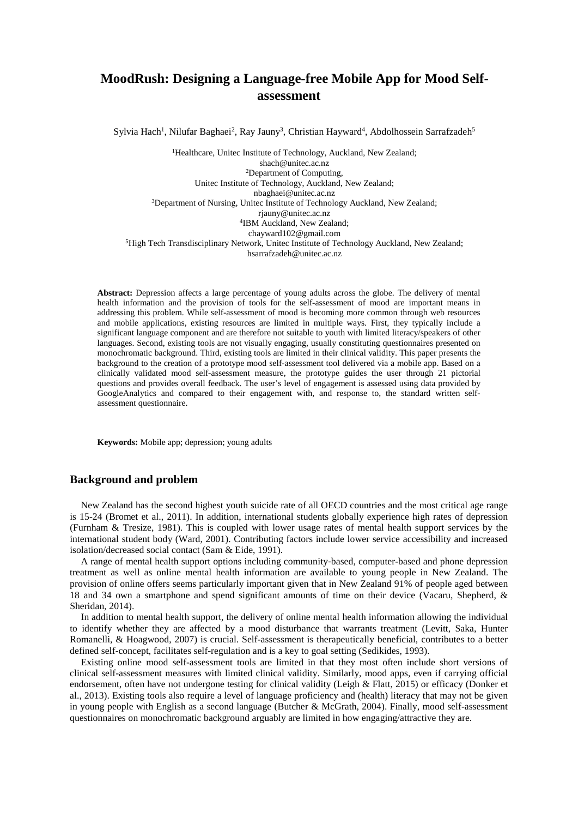# **MoodRush: Designing a Language-free Mobile App for Mood Selfassessment**

Sylvia Hach<sup>1</sup>, Nilufar Baghaei<sup>2</sup>, Ray Jauny<sup>3</sup>, Christian Hayward<sup>4</sup>, Abdolhossein Sarrafzadeh<sup>5</sup>

<sup>1</sup>Healthcare, Unitec Institute of Technology, Auckland, New Zealand; [shach@unitec.ac.nz](mailto:shach@unitec.ac.nz) 2Department of Computing, Unitec Institute of Technology, Auckland, New Zealand; nbaghaei@unitec.ac.nz <sup>3</sup>Department of Nursing, Unitec Institute of Technology Auckland, New Zealand; [rjauny@unitec.ac.nz](mailto:rjauny@unitec.ac.nz) 4IBM Auckland, New Zealand; chayward102@gmail.com <sup>5</sup>High Tech Transdisciplinary Network, Unitec Institute of Technology Auckland, New Zealand; hsarrafzadeh@unitec.ac.nz

**Abstract:** Depression affects a large percentage of young adults across the globe. The delivery of mental health information and the provision of tools for the self-assessment of mood are important means in addressing this problem. While self-assessment of mood is becoming more common through web resources and mobile applications, existing resources are limited in multiple ways. First, they typically include a significant language component and are therefore not suitable to youth with limited literacy/speakers of other languages. Second, existing tools are not visually engaging, usually constituting questionnaires presented on monochromatic background. Third, existing tools are limited in their clinical validity. This paper presents the background to the creation of a prototype mood self-assessment tool delivered via a mobile app. Based on a clinically validated mood self-assessment measure, the prototype guides the user through 21 pictorial questions and provides overall feedback. The user's level of engagement is assessed using data provided by GoogleAnalytics and compared to their engagement with, and response to, the standard written selfassessment questionnaire.

**Keywords:** Mobile app; depression; young adults

## **Background and problem**

New Zealand has the second highest youth suicide rate of all OECD countries and the most critical age range is 15-24 (Bromet et al., 2011). In addition, international students globally experience high rates of depression (Furnham & Tresize, 1981). This is coupled with lower usage rates of mental health support services by the international student body (Ward, 2001). Contributing factors include lower service accessibility and increased isolation/decreased social contact (Sam & Eide, 1991).

A range of mental health support options including community‐based, computer-based and phone depression treatment as well as online mental health information are available to young people in New Zealand. The provision of online offers seems particularly important given that in New Zealand 91% of people aged between 18 and 34 own a smartphone and spend significant amounts of time on their device (Vacaru, Shepherd, & Sheridan, 2014).

In addition to mental health support, the delivery of online mental health information allowing the individual to identify whether they are affected by a mood disturbance that warrants treatment (Levitt, Saka, Hunter Romanelli, & Hoagwood, 2007) is crucial. Self-assessment is therapeutically beneficial, contributes to a better defined self-concept, facilitates self-regulation and is a key to goal setting (Sedikides, 1993).

Existing online mood self-assessment tools are limited in that they most often include short versions of clinical self-assessment measures with limited clinical validity. Similarly, mood apps, even if carrying official endorsement, often have not undergone testing for clinical validity (Leigh & Flatt, 2015) or efficacy (Donker et al., 2013). Existing tools also require a level of language proficiency and (health) literacy that may not be given in young people with English as a second language (Butcher & McGrath, 2004). Finally, mood self-assessment questionnaires on monochromatic background arguably are limited in how engaging/attractive they are.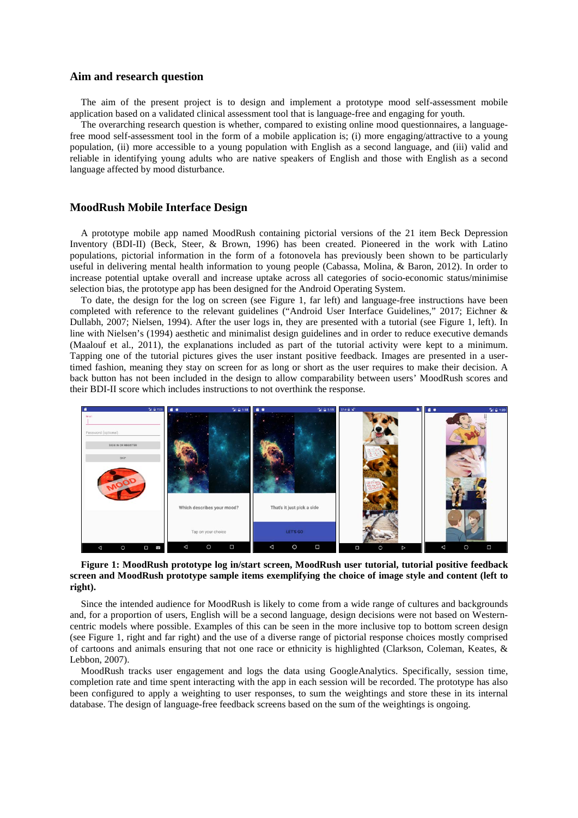### **Aim and research question**

The aim of the present project is to design and implement a prototype mood self-assessment mobile application based on a validated clinical assessment tool that is language-free and engaging for youth.

The overarching research question is whether, compared to existing online mood questionnaires, a languagefree mood self-assessment tool in the form of a mobile application is; (i) more engaging/attractive to a young population, (ii) more accessible to a young population with English as a second language, and (iii) valid and reliable in identifying young adults who are native speakers of English and those with English as a second language affected by mood disturbance.

## **MoodRush Mobile Interface Design**

A prototype mobile app named MoodRush containing pictorial versions of the 21 item Beck Depression Inventory (BDI-II) (Beck, Steer, & Brown, 1996) has been created. Pioneered in the work with Latino populations, pictorial information in the form of a fotonovela has previously been shown to be particularly useful in delivering mental health information to young people (Cabassa, Molina, & Baron, 2012). In order to increase potential uptake overall and increase uptake across all categories of socio-economic status/minimise selection bias, the prototype app has been designed for the Android Operating System.

To date, the design for the log on screen (see [Figure 1,](#page-1-0) far left) and language-free instructions have been completed with reference to the relevant guidelines ("Android User Interface Guidelines," 2017; Eichner & Dullabh, 2007; Nielsen, 1994). After the user logs in, they are presented with a tutorial (see [Figure 1,](#page-1-0) left). In line with Nielsen's (1994) aesthetic and minimalist design guidelines and in order to reduce executive demands (Maalouf et al., 2011), the explanations included as part of the tutorial activity were kept to a minimum. Tapping one of the tutorial pictures gives the user instant positive feedback. Images are presented in a usertimed fashion, meaning they stay on screen for as long or short as the user requires to make their decision. A back button has not been included in the design to allow comparability between users' MoodRush scores and their BDI-II score which includes instructions to not overthink the response.



#### <span id="page-1-0"></span>**Figure 1: MoodRush prototype log in/start screen, MoodRush user tutorial, tutorial positive feedback screen and MoodRush prototype sample items exemplifying the choice of image style and content (left to right).**

Since the intended audience for MoodRush is likely to come from a wide range of cultures and backgrounds and, for a proportion of users, English will be a second language, design decisions were not based on Westerncentric models where possible. Examples of this can be seen in the more inclusive top to bottom screen design (see [Figure 1,](#page-1-0) right and far right) and the use of a diverse range of pictorial response choices mostly comprised of cartoons and animals ensuring that not one race or ethnicity is highlighted (Clarkson, Coleman, Keates, & Lebbon, 2007).

MoodRush tracks user engagement and logs the data using GoogleAnalytics. Specifically, session time, completion rate and time spent interacting with the app in each session will be recorded. The prototype has also been configured to apply a weighting to user responses, to sum the weightings and store these in its internal database. The design of language-free feedback screens based on the sum of the weightings is ongoing.